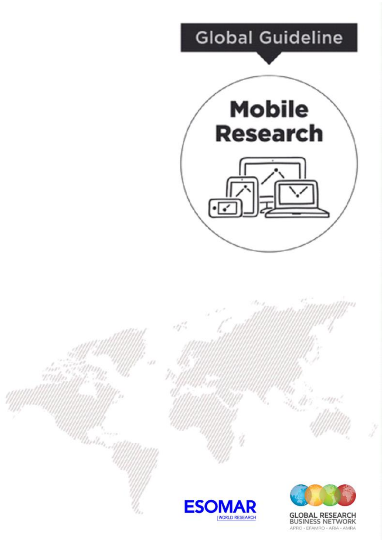



**BUSINESS NETWORK** APRC · EFAMRO · ARIA · AMRA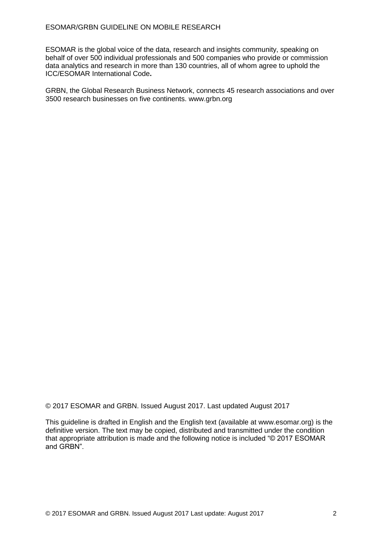ESOMAR is the global voice of the data, research and insights community, speaking on behalf of over 500 individual professionals and 500 companies who provide or commission data analytics and research in more than 130 countries, all of whom agree to uphold the ICC/ESOMAR International Code**.**

GRBN, the Global Research Business Network, connects 45 research associations and over 3500 research businesses on five continents. www.grbn.org

© 2017 ESOMAR and GRBN. Issued August 2017. Last updated August 2017

This guideline is drafted in English and the English text (available at www.esomar.org) is the definitive version. The text may be copied, distributed and transmitted under the condition that appropriate attribution is made and the following notice is included "© 2017 ESOMAR and GRBN".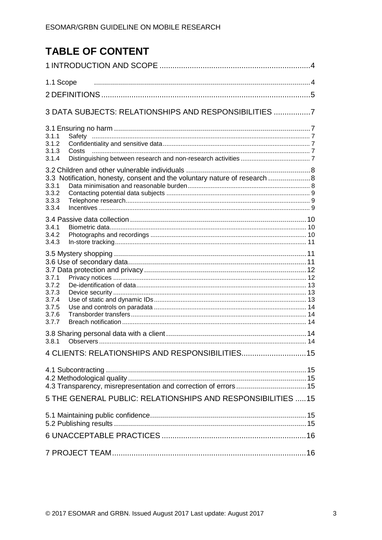# **TABLE OF CONTENT**

| 1.1 Scope                                                                                                      |  |
|----------------------------------------------------------------------------------------------------------------|--|
| 3 DATA SUBJECTS: RELATIONSHIPS AND RESPONSIBILITIES 7                                                          |  |
| 3.1.1<br>3.1.2<br>3.1.3<br>Costs<br>3.1.4                                                                      |  |
| 3.3 Notification, honesty, consent and the voluntary nature of research  8<br>3.3.1<br>3.3.2<br>3.3.3<br>3.3.4 |  |
| 3.4.1<br>3.4.2<br>3.4.3                                                                                        |  |
| 3.7.1<br>3.7.2<br>3.7.3<br>3.7.4<br>3.7.5<br>3.7.6<br>3.7.7                                                    |  |
| 3.8.1                                                                                                          |  |
| 4 CLIENTS: RELATIONSHIPS AND RESPONSIBILITIES 15                                                               |  |
| 5 THE GENERAL PUBLIC: RELATIONSHIPS AND RESPONSIBILITIES  15                                                   |  |
|                                                                                                                |  |
|                                                                                                                |  |
|                                                                                                                |  |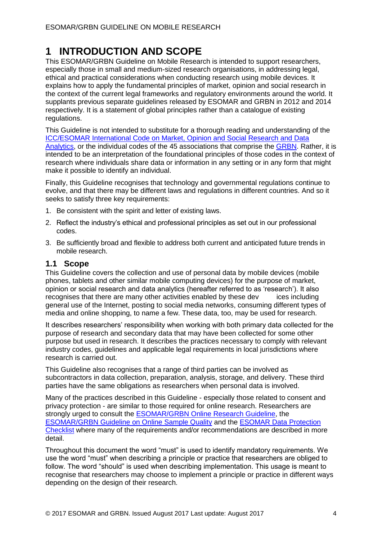## **1 INTRODUCTION AND SCOPE**

This ESOMAR/GRBN Guideline on Mobile Research is intended to support researchers, especially those in small and medium-sized research organisations, in addressing legal, ethical and practical considerations when conducting research using mobile devices. It explains how to apply the fundamental principles of market, opinion and social research in the context of the current legal frameworks and regulatory environments around the world. It supplants previous separate guidelines released by ESOMAR and GRBN in 2012 and 2014 respectively. It is a statement of global principles rather than a catalogue of existing regulations.

This Guideline is not intended to substitute for a thorough reading and understanding of the [ICC/ESOMAR International Code on Market, Opinion and Social Research and Data](https://www.esomar.org/uploads/public/knowledge-and-standards/codes-and-guidelines/ICCESOMAR_Code_English_.pdf)  [Analytics,](https://www.esomar.org/uploads/public/knowledge-and-standards/codes-and-guidelines/ICCESOMAR_Code_English_.pdf) or the individual codes of the 45 associations that comprise the [GRBN.](http://www.grbn.org/) Rather, it is intended to be an interpretation of the foundational principles of those codes in the context of research where individuals share data or information in any setting or in any form that might make it possible to identify an individual.

Finally, this Guideline recognises that technology and governmental regulations continue to evolve, and that there may be different laws and regulations in different countries. And so it seeks to satisfy three key requirements:

- 1. Be consistent with the spirit and letter of existing laws.
- 2. Reflect the industry's ethical and professional principles as set out in our professional codes.
- 3. Be sufficiently broad and flexible to address both current and anticipated future trends in mobile research.

## **1.1 Scope**

This Guideline covers the collection and use of personal data by mobile devices (mobile phones, tablets and other similar mobile computing devices) for the purpose of market, opinion or social research and data analytics (hereafter referred to as 'research'). It also recognises that there are many other activities enabled by these dev ices including general use of the Internet, posting to social media networks, consuming different types of media and online shopping, to name a few. These data, too, may be used for research.

It describes researchers' responsibility when working with both primary data collected for the purpose of research and secondary data that may have been collected for some other purpose but used in research. It describes the practices necessary to comply with relevant industry codes, guidelines and applicable legal requirements in local jurisdictions where research is carried out.

This Guideline also recognises that a range of third parties can be involved as subcontractors in data collection, preparation, analysis, storage, and delivery. These third parties have the same obligations as researchers when personal data is involved.

Many of the practices described in this Guideline - especially those related to consent and privacy protection - are similar to those required for online research. Researchers are strongly urged to consult the [ESOMAR/GRBN Online Research Guideline,](https://www.esomar.org/knowledge-and-standards/codes-and-guidelines/online-research-guideline.php) the [ESOMAR/GRBN Guideline on Online Sample Quality](https://www.esomar.org/knowledge-and-standards/codes-and-guidelines/guideline-on-online-sample-quality.php) and the [ESOMAR Data Protection](https://www.esomar.org/knowledge-and-standards/research-resources/data-protection-checklist.php)  [Checklist](https://www.esomar.org/knowledge-and-standards/research-resources/data-protection-checklist.php) where many of the requirements and/or recommendations are described in more detail.

Throughout this document the word "must" is used to identify mandatory requirements. We use the word "must" when describing a principle or practice that researchers are obliged to follow. The word "should" is used when describing implementation. This usage is meant to recognise that researchers may choose to implement a principle or practice in different ways depending on the design of their research.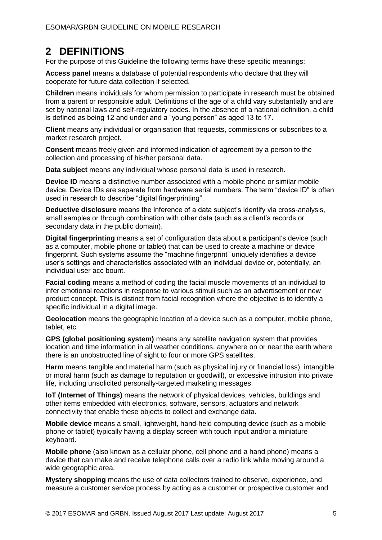## **2 DEFINITIONS**

For the purpose of this Guideline the following terms have these specific meanings:

**Access panel** means a database of potential respondents who declare that they will cooperate for future data collection if selected.

**Children** means individuals for whom permission to participate in research must be obtained from a parent or responsible adult. Definitions of the age of a child vary substantially and are set by national laws and self-regulatory codes. In the absence of a national definition, a child is defined as being 12 and under and a "young person" as aged 13 to 17.

**Client** means any individual or organisation that requests, commissions or subscribes to a market research project.

**Consent** means freely given and informed indication of agreement by a person to the collection and processing of his/her personal data.

**Data subject** means any individual whose personal data is used in research.

**Device ID** means a distinctive number associated with a mobile phone or similar mobile device. Device IDs are separate from hardware serial numbers. The term "device ID" is often used in research to describe "digital fingerprinting".

**Deductive disclosure** means the inference of a data subject's identify via cross-analysis, small samples or through combination with other data (such as a client's records or secondary data in the public domain).

**Digital fingerprinting** means a set of configuration data about a participant's device (such as a computer, mobile phone or tablet) that can be used to create a machine or device fingerprint. Such systems assume the "machine fingerprint" uniquely identifies a device user's settings and characteristics associated with an individual device or, potentially, an individual user acc bount.

**Facial coding** means a method of coding the facial muscle movements of an individual to infer emotional reactions in response to various stimuli such as an advertisement or new product concept. This is distinct from facial recognition where the objective is to identify a specific individual in a digital image.

**Geolocation** means the geographic location of a device such as a computer, mobile phone, tablet, etc.

**GPS (global positioning system)** means any satellite navigation system that provides location and time information in all weather conditions, anywhere on or near the earth where there is an unobstructed line of sight to four or more GPS satellites.

**Harm** means tangible and material harm (such as physical injury or financial loss), intangible or moral harm (such as damage to reputation or goodwill), or excessive intrusion into private life, including unsolicited personally-targeted marketing messages.

**IoT (Internet of Things)** means the network of physical devices, vehicles, buildings and other items embedded with electronics, software, sensors, actuators and network connectivity that enable these objects to collect and exchange data.

**Mobile device** means a small, lightweight, hand-held computing device (such as a mobile phone or tablet) typically having a display screen with touch input and/or a miniature keyboard.

**Mobile phone** (also known as a cellular phone, cell phone and a hand phone) means a device that can make and receive telephone calls over a radio link while moving around a wide geographic area.

**Mystery shopping** means the use of data collectors trained to observe, experience, and measure a customer service process by acting as a customer or prospective customer and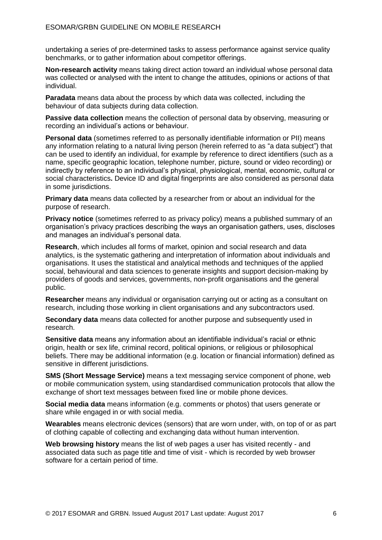undertaking a series of pre-determined tasks to assess performance against service quality benchmarks, or to gather information about competitor offerings.

**Non-research activity** means taking direct action toward an individual whose personal data was collected or analysed with the intent to change the attitudes, opinions or actions of that individual.

**Paradata** means data about the process by which data was collected, including the behaviour of data subjects during data collection.

**Passive data collection** means the collection of personal data by observing, measuring or recording an individual's actions or behaviour.

**Personal data** (sometimes referred to as personally identifiable information or PII) means any information relating to a natural living person (herein referred to as "a data subject") that can be used to identify an individual, for example by reference to direct identifiers (such as a name, specific geographic location, telephone number, picture, sound or video recording) or indirectly by reference to an individual's physical, physiological, mental, economic, cultural or social characteristics**.** Device ID and digital fingerprints are also considered as personal data in some jurisdictions.

**Primary data** means data collected by a researcher from or about an individual for the purpose of research.

**Privacy notice** (sometimes referred to as privacy policy) means a published summary of an organisation's privacy practices describing the ways an organisation gathers, uses, discloses and manages an individual's personal data.

**Research**, which includes all forms of market, opinion and social research and data analytics, is the systematic gathering and interpretation of information about individuals and organisations. It uses the statistical and analytical methods and techniques of the applied social, behavioural and data sciences to generate insights and support decision-making by providers of goods and services, governments, non-profit organisations and the general public.

**Researcher** means any individual or organisation carrying out or acting as a consultant on research, including those working in client organisations and any subcontractors used.

**Secondary data** means data collected for another purpose and subsequently used in research.

**Sensitive data** means any information about an identifiable individual's racial or ethnic origin, health or sex life, criminal record, political opinions, or religious or philosophical beliefs. There may be additional information (e.g. location or financial information) defined as sensitive in different jurisdictions.

**SMS (Short Message Service)** means a text messaging service component of phone, web or mobile communication system, using standardised communication protocols that allow the exchange of short text messages between fixed line or mobile phone devices.

**Social media data** means information (e.g. comments or photos) that users generate or share while engaged in or with social media.

**Wearables** means electronic devices (sensors) that are worn under, with, on top of or as part of clothing capable of collecting and exchanging data without human intervention.

**Web browsing history** means the list of web pages a user has visited recently - and associated data such as page title and time of visit - which is recorded by web browser software for a certain period of time.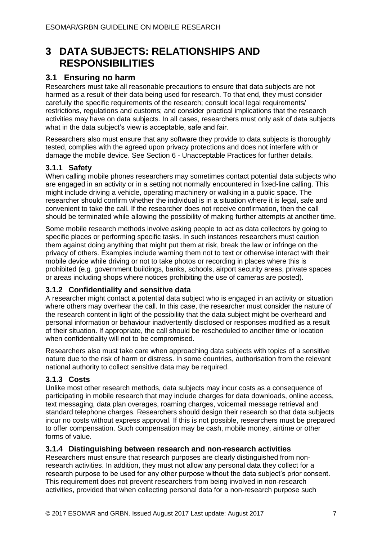## **3 DATA SUBJECTS: RELATIONSHIPS AND RESPONSIBILITIES**

## **3.1 Ensuring no harm**

Researchers must take all reasonable precautions to ensure that data subjects are not harmed as a result of their data being used for research. To that end, they must consider carefully the specific requirements of the research; consult local legal requirements/ restrictions, regulations and customs; and consider practical implications that the research activities may have on data subjects. In all cases, researchers must only ask of data subjects what in the data subject's view is acceptable, safe and fair.

Researchers also must ensure that any software they provide to data subjects is thoroughly tested, complies with the agreed upon privacy protections and does not interfere with or damage the mobile device. See Section 6 - Unacceptable Practices for further details.

## **3.1.1 Safety**

When calling mobile phones researchers may sometimes contact potential data subjects who are engaged in an activity or in a setting not normally encountered in fixed-line calling. This might include driving a vehicle, operating machinery or walking in a public space. The researcher should confirm whether the individual is in a situation where it is legal, safe and convenient to take the call. If the researcher does not receive confirmation, then the call should be terminated while allowing the possibility of making further attempts at another time.

Some mobile research methods involve asking people to act as data collectors by going to specific places or performing specific tasks. In such instances researchers must caution them against doing anything that might put them at risk, break the law or infringe on the privacy of others. Examples include warning them not to text or otherwise interact with their mobile device while driving or not to take photos or recording in places where this is prohibited (e.g. government buildings, banks, schools, airport security areas, private spaces or areas including shops where notices prohibiting the use of cameras are posted).

### **3.1.2 Confidentiality and sensitive data**

A researcher might contact a potential data subject who is engaged in an activity or situation where others may overhear the call. In this case, the researcher must consider the nature of the research content in light of the possibility that the data subject might be overheard and personal information or behaviour inadvertently disclosed or responses modified as a result of their situation. If appropriate, the call should be rescheduled to another time or location when confidentiality will not to be compromised.

Researchers also must take care when approaching data subjects with topics of a sensitive nature due to the risk of harm or distress. In some countries, authorisation from the relevant national authority to collect sensitive data may be required.

### **3.1.3 Costs**

Unlike most other research methods, data subjects may incur costs as a consequence of participating in mobile research that may include charges for data downloads, online access, text messaging, data plan overages, roaming charges, voicemail message retrieval and standard telephone charges. Researchers should design their research so that data subjects incur no costs without express approval. If this is not possible, researchers must be prepared to offer compensation. Such compensation may be cash, mobile money, airtime or other forms of value.

### **3.1.4 Distinguishing between research and non-research activities**

Researchers must ensure that research purposes are clearly distinguished from nonresearch activities. In addition, they must not allow any personal data they collect for a research purpose to be used for any other purpose without the data subject's prior consent. This requirement does not prevent researchers from being involved in non-research activities, provided that when collecting personal data for a non-research purpose such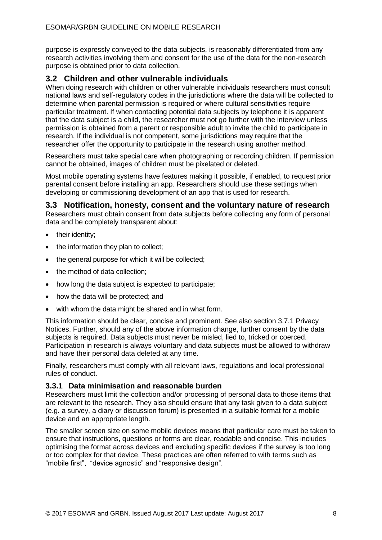purpose is expressly conveyed to the data subjects, is reasonably differentiated from any research activities involving them and consent for the use of the data for the non-research purpose is obtained prior to data collection.

## **3.2 Children and other vulnerable individuals**

When doing research with children or other vulnerable individuals researchers must consult national laws and self-regulatory codes in the jurisdictions where the data will be collected to determine when parental permission is required or where cultural sensitivities require particular treatment. If when contacting potential data subjects by telephone it is apparent that the data subject is a child, the researcher must not go further with the interview unless permission is obtained from a parent or responsible adult to invite the child to participate in research. If the individual is not competent, some jurisdictions may require that the researcher offer the opportunity to participate in the research using another method.

Researchers must take special care when photographing or recording children. If permission cannot be obtained, images of children must be pixelated or deleted.

Most mobile operating systems have features making it possible, if enabled, to request prior parental consent before installing an app. Researchers should use these settings when developing or commissioning development of an app that is used for research.

**3.3 Notification, honesty, consent and the voluntary nature of research**  Researchers must obtain consent from data subjects before collecting any form of personal data and be completely transparent about:

- their identity;
- the information they plan to collect;
- the general purpose for which it will be collected;
- the method of data collection;
- how long the data subject is expected to participate;
- how the data will be protected; and
- with whom the data might be shared and in what form.

This information should be clear, concise and prominent. See also section 3.7.1 Privacy Notices. Further, should any of the above information change, further consent by the data subjects is required. Data subjects must never be misled, lied to, tricked or coerced. Participation in research is always voluntary and data subjects must be allowed to withdraw and have their personal data deleted at any time.

Finally, researchers must comply with all relevant laws, regulations and local professional rules of conduct.

### **3.3.1 Data minimisation and reasonable burden**

Researchers must limit the collection and/or processing of personal data to those items that are relevant to the research. They also should ensure that any task given to a data subject (e.g. a survey, a diary or discussion forum) is presented in a suitable format for a mobile device and an appropriate length.

The smaller screen size on some mobile devices means that particular care must be taken to ensure that instructions, questions or forms are clear, readable and concise. This includes optimising the format across devices and excluding specific devices if the survey is too long or too complex for that device. These practices are often referred to with terms such as "mobile first", "device agnostic" and "responsive design".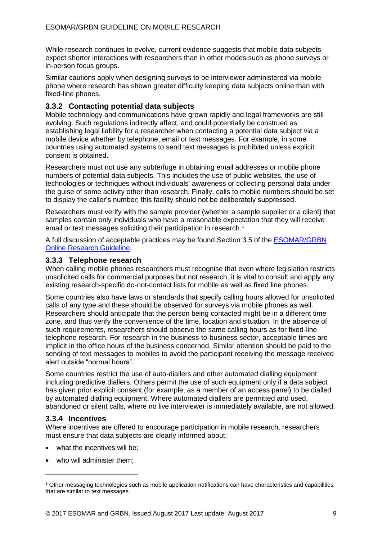While research continues to evolve, current evidence suggests that mobile data subjects expect shorter interactions with researchers than in other modes such as phone surveys or in-person focus groups.

Similar cautions apply when designing surveys to be interviewer administered via mobile phone where research has shown greater difficulty keeping data subjects online than with fixed-line phones.

### **3.3.2 Contacting potential data subjects**

Mobile technology and communications have grown rapidly and legal frameworks are still evolving. Such regulations indirectly affect, and could potentially be construed as establishing legal liability for a researcher when contacting a potential data subject via a mobile device whether by telephone, email or text messages. For example, in some countries using automated systems to send text messages is prohibited unless explicit consent is obtained.

Researchers must not use any subterfuge in obtaining email addresses or mobile phone numbers of potential data subjects. This includes the use of public websites, the use of technologies or techniques without individuals' awareness or collecting personal data under the guise of some activity other than research. Finally, calls to mobile numbers should be set to display the caller's number; this facility should not be deliberately suppressed.

Researchers must verify with the sample provider (whether a sample supplier or a client) that samples contain only individuals who have a reasonable expectation that they will receive email or text messages soliciting their participation in research.<sup>1</sup>

A full discussion of acceptable practices may be found Section 3.5 of the [ESOMAR/GRBN](https://www.esomar.org/what-we-do/code-guidelines/esomargrbn-online-research-guideline)  [Online Research Guideline.](https://www.esomar.org/what-we-do/code-guidelines/esomargrbn-online-research-guideline)

### **3.3.3 Telephone research**

When calling mobile phones researchers must recognise that even where legislation restricts unsolicited calls for commercial purposes but not research, it is vital to consult and apply any existing research-specific do-not-contact lists for mobile as well as fixed line phones.

Some countries also have laws or standards that specify calling hours allowed for unsolicited calls of any type and these should be observed for surveys via mobile phones as well. Researchers should anticipate that the person being contacted might be in a different time zone, and thus verify the convenience of the time, location and situation. In the absence of such requirements, researchers should observe the same calling hours as for fixed-line telephone research. For research in the business-to-business sector, acceptable times are implicit in the office hours of the business concerned. Similar attention should be paid to the sending of text messages to mobiles to avoid the participant receiving the message received alert outside "normal hours".

Some countries restrict the use of auto-diallers and other automated dialling equipment including predictive diallers. Others permit the use of such equipment only if a data subject has given prior explicit consent (for example, as a member of an access panel) to be dialled by automated dialling equipment. Where automated diallers are permitted and used, abandoned or silent calls, where no live interviewer is immediately available, are not allowed.

### **3.3.4 Incentives**

 $\overline{a}$ 

Where incentives are offered to encourage participation in mobile research, researchers must ensure that data subjects are clearly informed about:

- what the incentives will be:
- who will administer them:

<sup>1</sup> Other messaging technologies such as mobile application notifications can have characteristics and capabilities that are similar to text messages.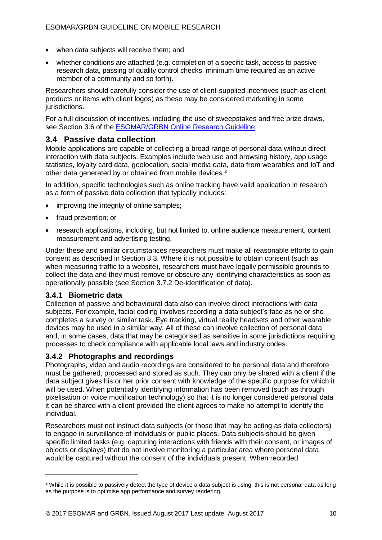- when data subjects will receive them; and
- whether conditions are attached (e.g. completion of a specific task, access to passive research data, passing of quality control checks, minimum time required as an active member of a community and so forth).

Researchers should carefully consider the use of client-supplied incentives (such as client products or items with client logos) as these may be considered marketing in some jurisdictions.

For a full discussion of incentives, including the use of sweepstakes and free prize draws, see Section 3.6 of the [ESOMAR/GRBN Online Research Guideline.](https://www.esomar.org/what-we-do/code-guidelines/esomargrbn-online-research-guideline)

## **3.4 Passive data collection**

Mobile applications are capable of collecting a broad range of personal data without direct interaction with data subjects. Examples include web use and browsing history, app usage statistics, loyalty card data, geolocation, social media data, data from wearables and IoT and other data generated by or obtained from mobile devices.<sup>2</sup>

In addition, specific technologies such as online tracking have valid application in research as a form of passive data collection that typically includes:

- improving the integrity of online samples;
- fraud prevention; or
- research applications, including, but not limited to, online audience measurement, content measurement and advertising testing.

Under these and similar circumstances researchers must make all reasonable efforts to gain consent as described in Section 3.3. Where it is not possible to obtain consent (such as when measuring traffic to a website), researchers must have legally permissible grounds to collect the data and they must remove or obscure any identifying characteristics as soon as operationally possible (see Section 3.7.2 De-identification of data).

### **3.4.1 Biometric data**

 $\overline{a}$ 

Collection of passive and behavioural data also can involve direct interactions with data subjects. For example, facial coding involves recording a data subject's face as he or she completes a survey or similar task. Eye tracking, virtual reality headsets and other wearable devices may be used in a similar way. All of these can involve collection of personal data and, in some cases, data that may be categorised as sensitive in some jurisdictions requiring processes to check compliance with applicable local laws and industry codes.

## **3.4.2 Photographs and recordings**

Photographs, video and audio recordings are considered to be personal data and therefore must be gathered, processed and stored as such. They can only be shared with a client if the data subject gives his or her prior consent with knowledge of the specific purpose for which it will be used. When potentially identifying information has been removed (such as through pixelisation or voice modification technology) so that it is no longer considered personal data it can be shared with a client provided the client agrees to make no attempt to identify the individual.

Researchers must not instruct data subjects (or those that may be acting as data collectors) to engage in surveillance of individuals or public places. Data subjects should be given specific limited tasks (e.g. capturing interactions with friends with their consent, or images of objects or displays) that do not involve monitoring a particular area where personal data would be captured without the consent of the individuals present. When recorded

<sup>&</sup>lt;sup>2</sup> While it is possible to passively detect the type of device a data subject is using, this is not personal data as long as the purpose is to optimise app performance and survey rendering.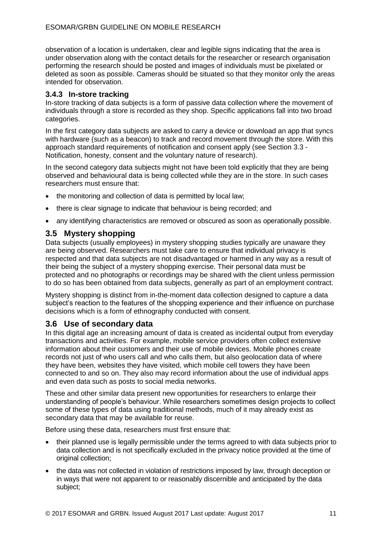observation of a location is undertaken, clear and legible signs indicating that the area is under observation along with the contact details for the researcher or research organisation performing the research should be posted and images of individuals must be pixelated or deleted as soon as possible. Cameras should be situated so that they monitor only the areas intended for observation.

### **3.4.3 In-store tracking**

In-store tracking of data subjects is a form of passive data collection where the movement of individuals through a store is recorded as they shop. Specific applications fall into two broad categories.

In the first category data subjects are asked to carry a device or download an app that syncs with hardware (such as a beacon) to track and record movement through the store. With this approach standard requirements of notification and consent apply (see Section 3.3 - Notification, honesty, consent and the voluntary nature of research).

In the second category data subjects might not have been told explicitly that they are being observed and behavioural data is being collected while they are in the store. In such cases researchers must ensure that:

- the monitoring and collection of data is permitted by local law;
- there is clear signage to indicate that behaviour is being recorded; and
- any identifying characteristics are removed or obscured as soon as operationally possible.

## **3.5 Mystery shopping**

Data subjects (usually employees) in mystery shopping studies typically are unaware they are being observed. Researchers must take care to ensure that individual privacy is respected and that data subjects are not disadvantaged or harmed in any way as a result of their being the subject of a mystery shopping exercise. Their personal data must be protected and no photographs or recordings may be shared with the client unless permission to do so has been obtained from data subjects, generally as part of an employment contract.

Mystery shopping is distinct from in-the-moment data collection designed to capture a data subject's reaction to the features of the shopping experience and their influence on purchase decisions which is a form of ethnography conducted with consent.

### **3.6 Use of secondary data**

In this digital age an increasing amount of data is created as incidental output from everyday transactions and activities. For example, mobile service providers often collect extensive information about their customers and their use of mobile devices. Mobile phones create records not just of who users call and who calls them, but also geolocation data of where they have been, websites they have visited, which mobile cell towers they have been connected to and so on. They also may record information about the use of individual apps and even data such as posts to social media networks.

These and other similar data present new opportunities for researchers to enlarge their understanding of people's behaviour. While researchers sometimes design projects to collect some of these types of data using traditional methods, much of it may already exist as secondary data that may be available for reuse.

Before using these data, researchers must first ensure that:

- their planned use is legally permissible under the terms agreed to with data subjects prior to data collection and is not specifically excluded in the privacy notice provided at the time of original collection;
- the data was not collected in violation of restrictions imposed by law, through deception or in ways that were not apparent to or reasonably discernible and anticipated by the data subject;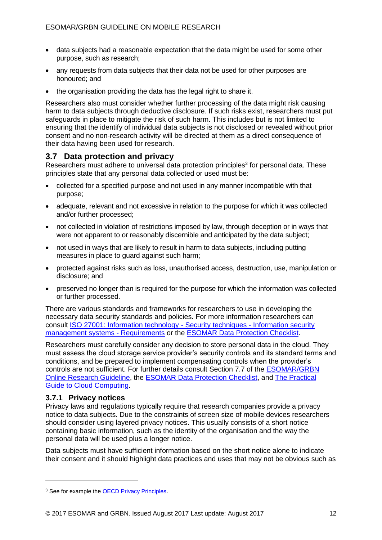- data subjects had a reasonable expectation that the data might be used for some other purpose, such as research;
- any requests from data subjects that their data not be used for other purposes are honoured; and
- the organisation providing the data has the legal right to share it.

Researchers also must consider whether further processing of the data might risk causing harm to data subiects through deductive disclosure. If such risks exist, researchers must put safeguards in place to mitigate the risk of such harm. This includes but is not limited to ensuring that the identify of individual data subjects is not disclosed or revealed without prior consent and no non-research activity will be directed at them as a direct consequence of their data having been used for research.

## **3.7 Data protection and privacy**

Researchers must adhere to universal data protection principles<sup>3</sup> for personal data. These principles state that any personal data collected or used must be:

- collected for a specified purpose and not used in any manner incompatible with that purpose;
- adequate, relevant and not excessive in relation to the purpose for which it was collected and/or further processed;
- not collected in violation of restrictions imposed by law, through deception or in ways that were not apparent to or reasonably discernible and anticipated by the data subject;
- not used in ways that are likely to result in harm to data subjects, including putting measures in place to guard against such harm;
- protected against risks such as loss, unauthorised access, destruction, use, manipulation or disclosure; and
- preserved no longer than is required for the purpose for which the information was collected or further processed.

There are various standards and frameworks for researchers to use in developing the necessary data security standards and policies. For more information researchers can consult [ISO 27001: Information technology -](http://www.iso.org/iso/home/standards/management-standards/iso27001.htm) Security techniques - Information security [management systems -](http://www.iso.org/iso/home/standards/management-standards/iso27001.htm) Requirements or the [ESOMAR Data Protection Checklist.](https://www.esomar.org/what-we-do/code-guidelines/esomar-data-protection-checklist)

Researchers must carefully consider any decision to store personal data in the cloud. They must assess the cloud storage service provider's security controls and its standard terms and conditions, and be prepared to implement compensating controls when the provider's controls are not sufficient. For further details consult Section 7.7 of the [ESOMAR/GRBN](https://www.esomar.org/what-we-do/code-guidelines/esomargrbn-online-research-guideline)  [Online Research Guideline,](https://www.esomar.org/what-we-do/code-guidelines/esomargrbn-online-research-guideline) the [ESOMAR Data Protection Checklist,](https://www.esomar.org/what-we-do/code-guidelines/esomar-data-protection-checklist) and The [Practical](https://www.esomar.org/uploads/public/knowledge-and-standards/codes-and-guidelines/A-Practical-Guide-to-Cloud-Computing-Services-Research-World-Issue-30-October-2011.pdf)  [Guide to Cloud Computing.](https://www.esomar.org/uploads/public/knowledge-and-standards/codes-and-guidelines/A-Practical-Guide-to-Cloud-Computing-Services-Research-World-Issue-30-October-2011.pdf)

### **3.7.1 Privacy notices**

Privacy laws and regulations typically require that research companies provide a privacy notice to data subjects. Due to the constraints of screen size of mobile devices researchers should consider using layered privacy notices. This usually consists of a short notice containing basic information, such as the identity of the organisation and the way the personal data will be used plus a longer notice.

Data subjects must have sufficient information based on the short notice alone to indicate their consent and it should highlight data practices and uses that may not be obvious such as

<sup>&</sup>lt;sup>3</sup> See for example the [OECD Privacy Principles.](http://www.oecd.org/sti/ieconomy/privacy.htm)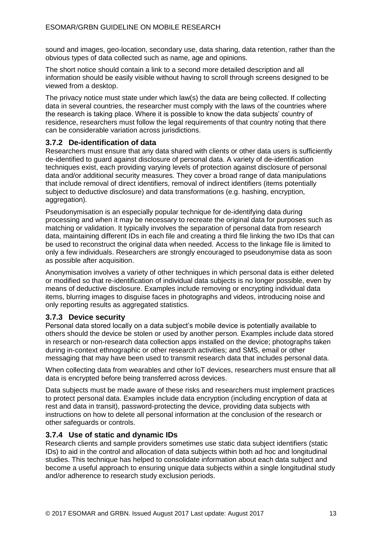sound and images, geo-location, secondary use, data sharing, data retention, rather than the obvious types of data collected such as name, age and opinions.

The short notice should contain a link to a second more detailed description and all information should be easily visible without having to scroll through screens designed to be viewed from a desktop.

The privacy notice must state under which law(s) the data are being collected. If collecting data in several countries, the researcher must comply with the laws of the countries where the research is taking place. Where it is possible to know the data subjects' country of residence, researchers must follow the legal requirements of that country noting that there can be considerable variation across jurisdictions.

### **3.7.2 De-identification of data**

Researchers must ensure that any data shared with clients or other data users is sufficiently de-identified to guard against disclosure of personal data. A variety of de-identification techniques exist, each providing varying levels of protection against disclosure of personal data and/or additional security measures. They cover a broad range of data manipulations that include removal of direct identifiers, removal of indirect identifiers (items potentially subject to deductive disclosure) and data transformations (e.g. hashing, encryption, aggregation).

Pseudonymisation is an especially popular technique for de-identifying data during processing and when it may be necessary to recreate the original data for purposes such as matching or validation. It typically involves the separation of personal data from research data, maintaining different IDs in each file and creating a third file linking the two IDs that can be used to reconstruct the original data when needed. Access to the linkage file is limited to only a few individuals. Researchers are strongly encouraged to pseudonymise data as soon as possible after acquisition.

Anonymisation involves a variety of other techniques in which personal data is either deleted or modified so that re-identification of individual data subjects is no longer possible, even by means of deductive disclosure. Examples include removing or encrypting individual data items, blurring images to disguise faces in photographs and videos, introducing noise and only reporting results as aggregated statistics.

### **3.7.3 Device security**

Personal data stored locally on a data subject's mobile device is potentially available to others should the device be stolen or used by another person. Examples include data stored in research or non-research data collection apps installed on the device; photographs taken during in-context ethnographic or other research activities; and SMS, email or other messaging that may have been used to transmit research data that includes personal data.

When collecting data from wearables and other IoT devices, researchers must ensure that all data is encrypted before being transferred across devices.

Data subjects must be made aware of these risks and researchers must implement practices to protect personal data. Examples include data encryption (including encryption of data at rest and data in transit), password-protecting the device, providing data subjects with instructions on how to delete all personal information at the conclusion of the research or other safeguards or controls.

### **3.7.4 Use of static and dynamic IDs**

Research clients and sample providers sometimes use static data subject identifiers (static IDs) to aid in the control and allocation of data subjects within both ad hoc and longitudinal studies. This technique has helped to consolidate information about each data subject and become a useful approach to ensuring unique data subjects within a single longitudinal study and/or adherence to research study exclusion periods.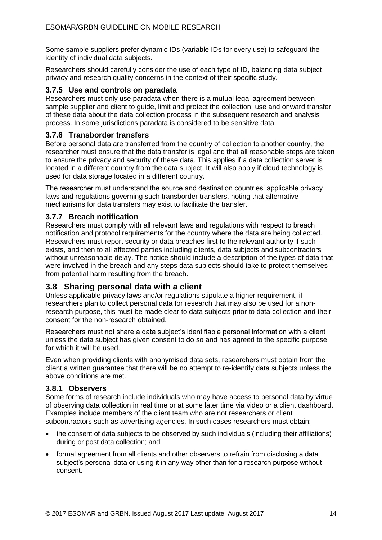Some sample suppliers prefer dynamic IDs (variable IDs for every use) to safeguard the identity of individual data subjects.

Researchers should carefully consider the use of each type of ID, balancing data subject privacy and research quality concerns in the context of their specific study.

#### **3.7.5 Use and controls on paradata**

Researchers must only use paradata when there is a mutual legal agreement between sample supplier and client to guide, limit and protect the collection, use and onward transfer of these data about the data collection process in the subsequent research and analysis process. In some jurisdictions paradata is considered to be sensitive data.

#### **3.7.6 Transborder transfers**

Before personal data are transferred from the country of collection to another country, the researcher must ensure that the data transfer is legal and that all reasonable steps are taken to ensure the privacy and security of these data. This applies if a data collection server is located in a different country from the data subject. It will also apply if cloud technology is used for data storage located in a different country.

The researcher must understand the source and destination countries' applicable privacy laws and regulations governing such transborder transfers, noting that alternative mechanisms for data transfers may exist to facilitate the transfer.

### **3.7.7 Breach notification**

Researchers must comply with all relevant laws and regulations with respect to breach notification and protocol requirements for the country where the data are being collected. Researchers must report security or data breaches first to the relevant authority if such exists, and then to all affected parties including clients, data subjects and subcontractors without unreasonable delay. The notice should include a description of the types of data that were involved in the breach and any steps data subjects should take to protect themselves from potential harm resulting from the breach.

## **3.8 Sharing personal data with a client**

Unless applicable privacy laws and/or regulations stipulate a higher requirement, if researchers plan to collect personal data for research that may also be used for a nonresearch purpose, this must be made clear to data subjects prior to data collection and their consent for the non-research obtained.

Researchers must not share a data subject's identifiable personal information with a client unless the data subject has given consent to do so and has agreed to the specific purpose for which it will be used.

Even when providing clients with anonymised data sets, researchers must obtain from the client a written guarantee that there will be no attempt to re-identify data subjects unless the above conditions are met.

#### **3.8.1 Observers**

Some forms of research include individuals who may have access to personal data by virtue of observing data collection in real time or at some later time via video or a client dashboard. Examples include members of the client team who are not researchers or client subcontractors such as advertising agencies. In such cases researchers must obtain:

- the consent of data subjects to be observed by such individuals (including their affiliations) during or post data collection; and
- formal agreement from all clients and other observers to refrain from disclosing a data subject's personal data or using it in any way other than for a research purpose without consent.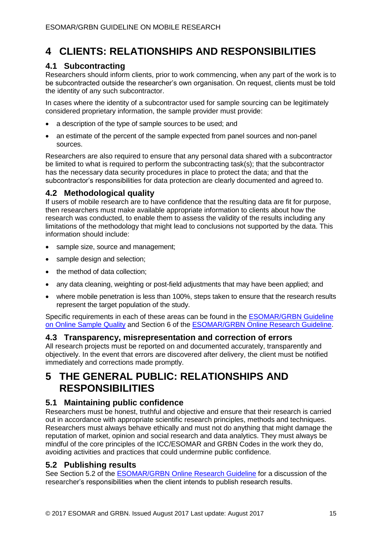# **4 CLIENTS: RELATIONSHIPS AND RESPONSIBILITIES**

## **4.1 Subcontracting**

Researchers should inform clients, prior to work commencing, when any part of the work is to be subcontracted outside the researcher's own organisation. On request, clients must be told the identity of any such subcontractor.

In cases where the identity of a subcontractor used for sample sourcing can be legitimately considered proprietary information, the sample provider must provide:

- a description of the type of sample sources to be used; and
- an estimate of the percent of the sample expected from panel sources and non-panel sources.

Researchers are also required to ensure that any personal data shared with a subcontractor be limited to what is required to perform the subcontracting task(s); that the subcontractor has the necessary data security procedures in place to protect the data; and that the subcontractor's responsibilities for data protection are clearly documented and agreed to.

## **4.2 Methodological quality**

If users of mobile research are to have confidence that the resulting data are fit for purpose, then researchers must make available appropriate information to clients about how the research was conducted, to enable them to assess the validity of the results including any limitations of the methodology that might lead to conclusions not supported by the data. This information should include:

- sample size, source and management;
- sample design and selection;
- the method of data collection;
- any data cleaning, weighting or post-field adjustments that may have been applied; and
- where mobile penetration is less than 100%, steps taken to ensure that the research results represent the target population of the study.

Specific requirements in each of these areas can be found in the [ESOMAR/GRBN Guideline](https://www.esomar.org/what-we-do/code-guidelines/eosmargrbn-guideline-on-online-sample-quality)  [on Online Sample](https://www.esomar.org/what-we-do/code-guidelines/eosmargrbn-guideline-on-online-sample-quality) Quality and Section 6 of the **ESOMAR/GRBN** Online Research Guideline.

## **4.3 Transparency, misrepresentation and correction of errors**

All research projects must be reported on and documented accurately, transparently and objectively. In the event that errors are discovered after delivery, the client must be notified immediately and corrections made promptly.

## **5 THE GENERAL PUBLIC: RELATIONSHIPS AND RESPONSIBILITIES**

## **5.1 Maintaining public confidence**

Researchers must be honest, truthful and objective and ensure that their research is carried out in accordance with appropriate scientific research principles, methods and techniques. Researchers must always behave ethically and must not do anything that might damage the reputation of market, opinion and social research and data analytics. They must always be mindful of the core principles of the ICC/ESOMAR and GRBN Codes in the work they do, avoiding activities and practices that could undermine public confidence.

## **5.2 Publishing results**

See Section 5.2 of the [ESOMAR/GRBN Online Research Guideline](https://www.esomar.org/what-we-do/code-guidelines/esomargrbn-online-research-guideline) for a discussion of the researcher's responsibilities when the client intends to publish research results.